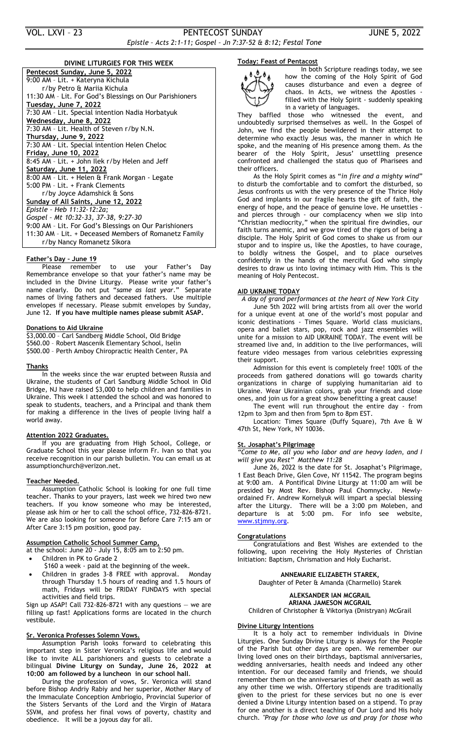# VOL. LXVI – 23 PENTECOST SUNDAY JUNE 5, 2022 *Epistle – Acts 2:1-11; Gospel – Jn 7:37-52 & 8:12; Festal Tone*

## **DIVINE LITURGIES FOR THIS WEEK**

| Pentecost Sunday, June 5, 2022                          |
|---------------------------------------------------------|
| 9:00 AM - Lit. + Kateryna Kichula                       |
| r/by Petro & Mariia Kichula                             |
| 11:30 AM - Lit. For God's Blessings on Our Parishioners |
| Tuesday, June 7, 2022                                   |
| 7:30 AM - Lit. Special intention Nadia Horbatyuk        |
| Wednesday, June 8, 2022                                 |
| 7:30 AM - Lit. Health of Steven r/by N.N.               |
| Thursday, June 9, 2022                                  |
| 7:30 AM - Lit. Special intention Helen Cheloc           |
| <b>Friday, June 10, 2022</b>                            |
| 8:45 AM - Lit. + John Ilek r/by Helen and Jeff          |
| Saturday, June 11, 2022                                 |
| 8:00 AM - Lit. + Helen & Frank Morgan - Legate          |
| 5:00 PM - Lit. + Frank Clements                         |
| r/by Joyce Adamshick & Sons                             |
| Sunday of All Saints, June 12, 2022                     |
| Epistle - Heb 11:32-12:2a;                              |
| Gospel - Mt 10:32-33, 37-38, 9:27-30                    |
| 9:00 AM - Lit. For God's Blessings on Our Parishioners  |
| 11:30 AM - Lit. + Deceased Members of Romanetz Family   |
| r/by Nancy Romanetz Sikora                              |

### **Father's Day – June 19**

Please remember to use your Father's Day Remembrance envelope so that your father's name may be included in the Divine Liturgy. Please write your father's name clearly. Do not put "*same as last year*." Separate names of living fathers and deceased fathers. Use multiple envelopes if necessary. Please submit envelopes by Sunday, June 12. **If you have multiple names please submit ASAP.**

# **Donations to Aid Ukraine**

\$3,000.00 – Carl Sandberg Middle School, Old Bridge \$560.00 – Robert Mascenik Elementary School, Iselin \$500.00 – Perth Amboy Chiropractic Health Center, PA

### **Thanks**

In the weeks since the war erupted between Russia and Ukraine, the students of Carl Sandburg Middle School in Old Bridge, NJ have raised \$3,000 to help children and families in Ukraine. This week I attended the school and was honored to speak to students, teachers, and a Principal and thank them for making a difference in the lives of people living half a world away.

#### **Attention 2022 Graduates.**

If you are graduating from High School, College, or Graduate School this year please inform Fr. Ivan so that you receive recognition in our parish bulletin. You can email us at assumptionchurch@verizon.net.

#### **Teacher Needed.**

Assumption Catholic School is looking for one full time teacher. Thanks to your prayers, last week we hired two new teachers. If you know someone who may be interested, please ask him or her to call the school office, 732-826-8721. We are also looking for someone for Before Care 7:15 am or After Care 3:15 pm position, good pay.

#### **Assumption Catholic School Summer Camp,**

at the school: June 20 - July 15, 8:05 am to 2:50 pm.

- Children in PK to Grade 2
- \$160 a week paid at the beginning of the week.
- Children in grades 3-8 FREE with approval. Monday through Thursday 1.5 hours of reading and 1.5 hours of math, Fridays will be FRIDAY FUNDAYS with special activities and field trips.

Sign up ASAP! Call 732-826-8721 with any questions  $-$  we are filling up fast! Applications forms are located in the church vestibule.

#### **Sr. Veronica Professes Solemn Vows.**

Assumption Parish looks forward to celebrating this important step in Sister Veronica's religious life and would like to invite ALL parishioners and guests to celebrate a bilingual **Divine Liturgy on Sunday, June 26, 2022 at 10:00 am followed by a luncheon in our school hall**.

During the profession of vows, Sr. Veronica will stand before Bishop Andriy Rabiy and her superior, Mother Mary of the Immaculate Conception Ambriogio, Provincial Superior of the Sisters Servants of the Lord and the Virgin of Matara SSVM, and profess her final vows of poverty, chastity and obedience. It will be a joyous day for all.

### **Today: Feast of Pentacost**



In both Scripture readings today, we see how the coming of the Holy Spirit of God causes disturbance and even a degree of chaos. In Acts, we witness the Apostles filled with the Holy Spirit - suddenly speaking in a variety of languages.

They baffled those who witnessed the event, and undoubtedly surprised themselves as well. In the Gospel of John, we find the people bewildered in their attempt to determine who exactly Jesus was, the manner in which He spoke, and the meaning of His presence among them. As the bearer of the Holy Spirit, Jesus' unsettling presence confronted and challenged the status quo of Pharisees and their officers.

As the Holy Spirit comes as "*in fire and a mighty wind*" to disturb the comfortable and to comfort the disturbed, so Jesus confronts us with the very presence of the Thrice Holy God and implants in our fragile hearts the gift of faith, the energy of hope, and the peace of genuine love. He unsettles and pierces through - our complacency when we slip into "Christian mediocrity," when the spiritual fire dwindles, our faith turns anemic, and we grow tired of the rigors of being a disciple. The Holy Spirit of God comes to shake us from our stupor and to inspire us, like the Apostles, to have courage, to boldly witness the Gospel, and to place ourselves confidently in the hands of the merciful God who simply desires to draw us into loving intimacy with Him. This is the meaning of Holy Pentecost.

#### **AID UKRAINE TODAY**

*A day of grand performances at the heart of New York City* June 5th 2022 will bring artists from all over the world for a unique event at one of the world's most popular and iconic destinations - Times Square. World class musicians, opera and ballet stars, pop, rock and jazz ensembles will unite for a mission to AID UKRAINE TODAY. The event will be streamed live and, in addition to the live performances, will feature video messages from various celebrities expressing their support.

Admission for this event is completely free! 100% of the proceeds from gathered donations will go towards charity organizations in charge of supplying humanitarian aid to Ukraine. Wear Ukrainian colors, grab your friends and close ones, and join us for a great show benefitting a great cause!

The event will run throughout the entire day - from 12pm to 3pm and then from 5pm to 8pm EST.

Location: Times Square (Duffy Square), 7th Ave & W 47th St, New York, NY 10036.

### **St. Josaphat's Pilgrimage**

*"Come to Me, all you who labor and are heavy laden, and I will give you Rest" Matthew 11:28*

June 26, 2022 is the date for St. Josaphat's Pilgrimage, 1 East Beach Drive, Glen Cove, NY 11542. The program begins at 9:00 am. A Pontifical Divine Liturgy at 11:00 am will be presided by Most Rev. Bishop Paul Chomnycky. ordained Fr. Andrew Kornelyuk will impart a special blessing after the Liturgy. There will be a 3:00 pm Moleben, and departure is at 5:00 pm. For info see website, [www.stjmny.org.](http://www.stjmny.org/)

#### **Congratulations**

Congratulations and Best Wishes are extended to the following, upon receiving the Holy Mysteries of Christian Initiation: Baptism, Chrismation and Holy Eucharist.

> **ANNEMARIE ELIZABETH STAREK,** Daughter of Peter & Amanda (Charmello) Starek

## **ALEKSANDER IAN MCGRAIL**

**ARIANA JAMESON MCGRAIL** Children of Christopher & Viktoriya (Dnistryan) McGrail

#### **Divine Liturgy Intentions**

It is a holy act to remember individuals in Divine Liturgies. One Sunday Divine Liturgy is always for the People of the Parish but other days are open. We remember our living loved ones on their birthdays, baptismal anniversaries, wedding anniversaries, health needs and indeed any other intention. For our deceased family and friends, we should remember them on the anniversaries of their death as well as any other time we wish. Offertory stipends are traditionally given to the priest for these services but no one is ever denied a Divine Liturgy intention based on a stipend. To pray for one another is a direct teaching of Our Lord and His holy church. *"Pray for those who love us and pray for those who*